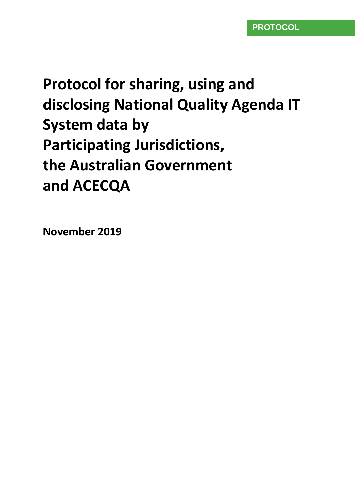# **Protocol for sharing, using and disclosing National Quality Agenda IT System data by Participating Jurisdictions, the Australian Government and ACECQA**

**November 2019**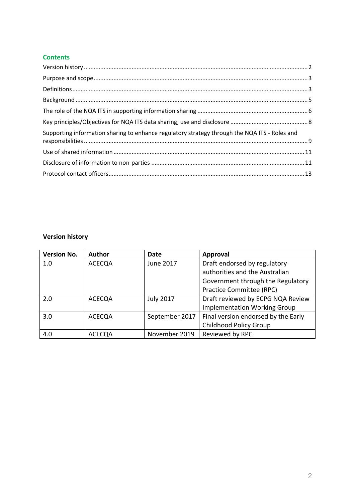### **Contents**

| Supporting information sharing to enhance regulatory strategy through the NQA ITS - Roles and |  |
|-----------------------------------------------------------------------------------------------|--|
|                                                                                               |  |
|                                                                                               |  |
|                                                                                               |  |

# <span id="page-1-0"></span>**Version history**

| <b>Version No.</b> | <b>Author</b> | Date             | <b>Approval</b>                     |
|--------------------|---------------|------------------|-------------------------------------|
| 1.0                | <b>ACECQA</b> | June 2017        | Draft endorsed by regulatory        |
|                    |               |                  | authorities and the Australian      |
|                    |               |                  | Government through the Regulatory   |
|                    |               |                  | Practice Committee (RPC)            |
| 2.0                | <b>ACECQA</b> | <b>July 2017</b> | Draft reviewed by ECPG NQA Review   |
|                    |               |                  | <b>Implementation Working Group</b> |
| 3.0                | <b>ACECQA</b> | September 2017   | Final version endorsed by the Early |
|                    |               |                  | <b>Childhood Policy Group</b>       |
| 4.0                | <b>ACECQA</b> | November 2019    | Reviewed by RPC                     |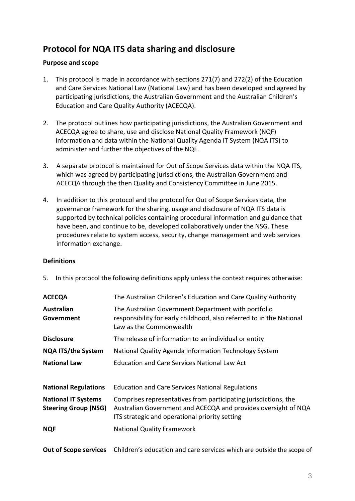# **Protocol for NQA ITS data sharing and disclosure**

### <span id="page-2-0"></span>**Purpose and scope**

- 1. This protocol is made in accordance with sections 271(7) and 272(2) of the Education and Care Services National Law (National Law) and has been developed and agreed by participating jurisdictions, the Australian Government and the Australian Children's Education and Care Quality Authority (ACECQA).
- 2. The protocol outlines how participating jurisdictions, the Australian Government and ACECQA agree to share, use and disclose National Quality Framework (NQF) information and data within the National Quality Agenda IT System (NQA ITS) to administer and further the objectives of the NQF.
- 3. A separate protocol is maintained for Out of Scope Services data within the NQA ITS, which was agreed by participating jurisdictions, the Australian Government and ACECQA through the then Quality and Consistency Committee in June 2015.
- 4. In addition to this protocol and the protocol for Out of Scope Services data, the governance framework for the sharing, usage and disclosure of NQA ITS data is supported by technical policies containing procedural information and guidance that have been, and continue to be, developed collaboratively under the NSG. These procedures relate to system access, security, change management and web services information exchange.

#### <span id="page-2-1"></span>**Definitions**

5. In this protocol the following definitions apply unless the context requires otherwise:

| <b>ACECQA</b>                                             | The Australian Children's Education and Care Quality Authority                                                                                                                      |
|-----------------------------------------------------------|-------------------------------------------------------------------------------------------------------------------------------------------------------------------------------------|
| Australian<br>Government                                  | The Australian Government Department with portfolio<br>responsibility for early childhood, also referred to in the National<br>Law as the Commonwealth                              |
| <b>Disclosure</b>                                         | The release of information to an individual or entity                                                                                                                               |
| <b>NQA ITS/the System</b>                                 | National Quality Agenda Information Technology System                                                                                                                               |
| <b>National Law</b>                                       | <b>Education and Care Services National Law Act</b>                                                                                                                                 |
|                                                           |                                                                                                                                                                                     |
| <b>National Regulations</b>                               | <b>Education and Care Services National Regulations</b>                                                                                                                             |
| <b>National IT Systems</b><br><b>Steering Group (NSG)</b> | Comprises representatives from participating jurisdictions, the<br>Australian Government and ACECQA and provides oversight of NQA<br>ITS strategic and operational priority setting |
| <b>NQF</b>                                                | <b>National Quality Framework</b>                                                                                                                                                   |
| <b>Out of Scope services</b>                              | Children's education and care services which are outside the scope of                                                                                                               |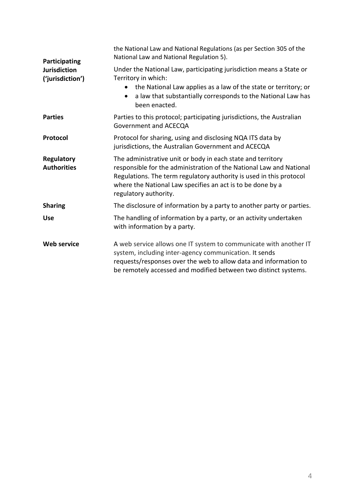| Participating                           | the National Law and National Regulations (as per Section 305 of the<br>National Law and National Regulation 5).                                                                                                                                                                                 |  |  |  |
|-----------------------------------------|--------------------------------------------------------------------------------------------------------------------------------------------------------------------------------------------------------------------------------------------------------------------------------------------------|--|--|--|
| <b>Jurisdiction</b><br>('jurisdiction') | Under the National Law, participating jurisdiction means a State or<br>Territory in which:                                                                                                                                                                                                       |  |  |  |
|                                         | the National Law applies as a law of the state or territory; or<br>a law that substantially corresponds to the National Law has<br>$\bullet$<br>been enacted.                                                                                                                                    |  |  |  |
| <b>Parties</b>                          | Parties to this protocol; participating jurisdictions, the Australian<br>Government and ACECQA                                                                                                                                                                                                   |  |  |  |
| Protocol                                | Protocol for sharing, using and disclosing NQA ITS data by<br>jurisdictions, the Australian Government and ACECQA                                                                                                                                                                                |  |  |  |
| <b>Regulatory</b><br><b>Authorities</b> | The administrative unit or body in each state and territory<br>responsible for the administration of the National Law and National<br>Regulations. The term regulatory authority is used in this protocol<br>where the National Law specifies an act is to be done by a<br>regulatory authority. |  |  |  |
| <b>Sharing</b>                          | The disclosure of information by a party to another party or parties.                                                                                                                                                                                                                            |  |  |  |
| <b>Use</b>                              | The handling of information by a party, or an activity undertaken<br>with information by a party.                                                                                                                                                                                                |  |  |  |
| <b>Web service</b>                      | A web service allows one IT system to communicate with another IT<br>system, including inter-agency communication. It sends<br>requests/responses over the web to allow data and information to<br>be remotely accessed and modified between two distinct systems.                               |  |  |  |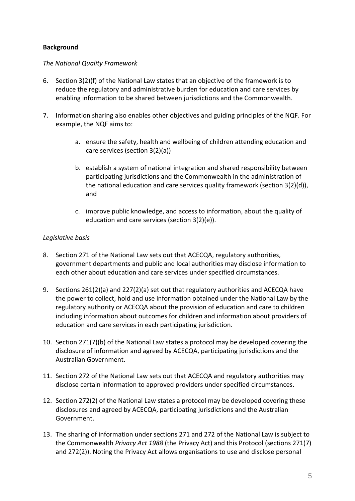# <span id="page-4-0"></span>**Background**

#### *The National Quality Framework*

- 6. Section 3(2)(f) of the National Law states that an objective of the framework is to reduce the regulatory and administrative burden for education and care services by enabling information to be shared between jurisdictions and the Commonwealth.
- 7. Information sharing also enables other objectives and guiding principles of the NQF. For example, the NQF aims to:
	- a. ensure the safety, health and wellbeing of children attending education and care services (section 3(2)(a))
	- b. establish a system of national integration and shared responsibility between participating jurisdictions and the Commonwealth in the administration of the national education and care services quality framework (section 3(2)(d)), and
	- c. improve public knowledge, and access to information, about the quality of education and care services (section 3(2)(e)).

### *Legislative basis*

- 8. Section 271 of the National Law sets out that ACECQA, regulatory authorities, government departments and public and local authorities may disclose information to each other about education and care services under specified circumstances.
- 9. Sections 261(2)(a) and 227(2)(a) set out that regulatory authorities and ACECQA have the power to collect, hold and use information obtained under the National Law by the regulatory authority or ACECQA about the provision of education and care to children including information about outcomes for children and information about providers of education and care services in each participating jurisdiction.
- 10. Section 271(7)(b) of the National Law states a protocol may be developed covering the disclosure of information and agreed by ACECQA, participating jurisdictions and the Australian Government.
- 11. Section 272 of the National Law sets out that ACECQA and regulatory authorities may disclose certain information to approved providers under specified circumstances.
- 12. Section 272(2) of the National Law states a protocol may be developed covering these disclosures and agreed by ACECQA, participating jurisdictions and the Australian Government.
- 13. The sharing of information under sections 271 and 272 of the National Law is subject to the Commonwealth *Privacy Act 1988* (the Privacy Act) and this Protocol (sections 271(7) and 272(2)). Noting the Privacy Act allows organisations to use and disclose personal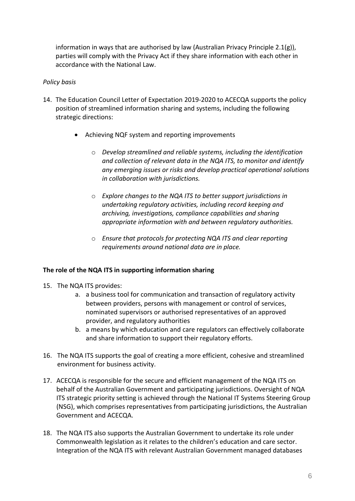information in ways that are authorised by law (Australian Privacy Principle 2.1(g)), parties will comply with the Privacy Act if they share information with each other in accordance with the National Law.

### *Policy basis*

- 14. The Education Council Letter of Expectation 2019-2020 to ACECQA supports the policy position of streamlined information sharing and systems, including the following strategic directions:
	- Achieving NQF system and reporting improvements
		- o *Develop streamlined and reliable systems, including the identification and collection of relevant data in the NQA ITS, to monitor and identify any emerging issues or risks and develop practical operational solutions in collaboration with jurisdictions.*
		- o *Explore changes to the NQA ITS to better support jurisdictions in undertaking regulatory activities, including record keeping and archiving, investigations, compliance capabilities and sharing appropriate information with and between regulatory authorities.*
		- o *Ensure that protocols for protecting NQA ITS and clear reporting requirements around national data are in place.*

### <span id="page-5-0"></span>**The role of the NQA ITS in supporting information sharing**

- 15. The NQA ITS provides:
	- a. a business tool for communication and transaction of regulatory activity between providers, persons with management or control of services, nominated supervisors or authorised representatives of an approved provider, and regulatory authorities
	- b. a means by which education and care regulators can effectively collaborate and share information to support their regulatory efforts.
- 16. The NQA ITS supports the goal of creating a more efficient, cohesive and streamlined environment for business activity.
- 17. ACECQA is responsible for the secure and efficient management of the NQA ITS on behalf of the Australian Government and participating jurisdictions. Oversight of NQA ITS strategic priority setting is achieved through the National IT Systems Steering Group (NSG), which comprises representatives from participating jurisdictions, the Australian Government and ACECQA.
- 18. The NQA ITS also supports the Australian Government to undertake its role under Commonwealth legislation as it relates to the children's education and care sector. Integration of the NQA ITS with relevant Australian Government managed databases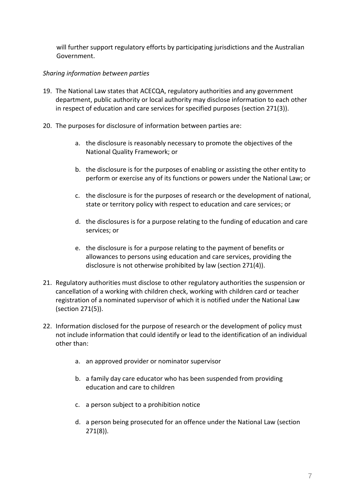will further support regulatory efforts by participating jurisdictions and the Australian Government.

# *Sharing information between parties*

- 19. The National Law states that ACECQA, regulatory authorities and any government department, public authority or local authority may disclose information to each other in respect of education and care services for specified purposes (section 271(3)).
- 20. The purposes for disclosure of information between parties are:
	- a. the disclosure is reasonably necessary to promote the objectives of the National Quality Framework; or
	- b. the disclosure is for the purposes of enabling or assisting the other entity to perform or exercise any of its functions or powers under the National Law; or
	- c. the disclosure is for the purposes of research or the development of national, state or territory policy with respect to education and care services; or
	- d. the disclosures is for a purpose relating to the funding of education and care services; or
	- e. the disclosure is for a purpose relating to the payment of benefits or allowances to persons using education and care services, providing the disclosure is not otherwise prohibited by law (section 271(4)).
- 21. Regulatory authorities must disclose to other regulatory authorities the suspension or cancellation of a working with children check, working with children card or teacher registration of a nominated supervisor of which it is notified under the National Law (section 271(5)).
- 22. Information disclosed for the purpose of research or the development of policy must not include information that could identify or lead to the identification of an individual other than:
	- a. an approved provider or nominator supervisor
	- b. a family day care educator who has been suspended from providing education and care to children
	- c. a person subject to a prohibition notice
	- d. a person being prosecuted for an offence under the National Law (section 271(8)).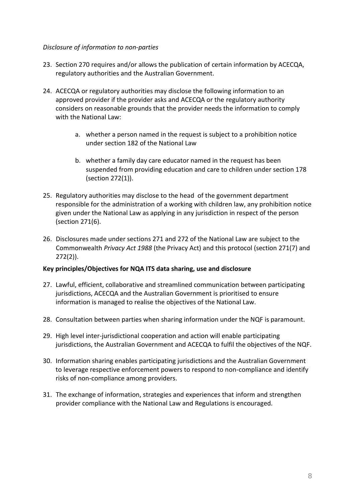### *Disclosure of information to non-parties*

- 23. Section 270 requires and/or allows the publication of certain information by ACECQA, regulatory authorities and the Australian Government.
- 24. ACECQA or regulatory authorities may disclose the following information to an approved provider if the provider asks and ACECQA or the regulatory authority considers on reasonable grounds that the provider needs the information to comply with the National Law:
	- a. whether a person named in the request is subject to a prohibition notice under section 182 of the National Law
	- b. whether a family day care educator named in the request has been suspended from providing education and care to children under section 178 (section 272(1)).
- 25. Regulatory authorities may disclose to the head of the government department responsible for the administration of a working with children law, any prohibition notice given under the National Law as applying in any jurisdiction in respect of the person (section 271(6).
- 26. Disclosures made under sections 271 and 272 of the National Law are subject to the Commonwealth *Privacy Act 1988* (the Privacy Act) and this protocol (section 271(7) and 272(2)).

### <span id="page-7-0"></span>**Key principles/Objectives for NQA ITS data sharing, use and disclosure**

- 27. Lawful, efficient, collaborative and streamlined communication between participating jurisdictions, ACECQA and the Australian Government is prioritised to ensure information is managed to realise the objectives of the National Law.
- 28. Consultation between parties when sharing information under the NQF is paramount.
- 29. High level inter-jurisdictional cooperation and action will enable participating jurisdictions, the Australian Government and ACECQA to fulfil the objectives of the NQF.
- 30. Information sharing enables participating jurisdictions and the Australian Government to leverage respective enforcement powers to respond to non-compliance and identify risks of non-compliance among providers.
- 31. The exchange of information, strategies and experiences that inform and strengthen provider compliance with the National Law and Regulations is encouraged.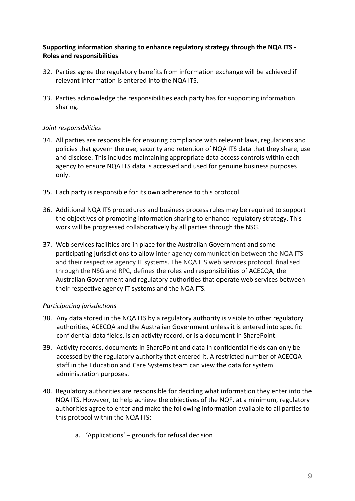## <span id="page-8-0"></span>**Supporting information sharing to enhance regulatory strategy through the NQA ITS - Roles and responsibilities**

- 32. Parties agree the regulatory benefits from information exchange will be achieved if relevant information is entered into the NQA ITS.
- 33. Parties acknowledge the responsibilities each party has for supporting information sharing.

### *Joint responsibilities*

- 34. All parties are responsible for ensuring compliance with relevant laws, regulations and policies that govern the use, security and retention of NQA ITS data that they share, use and disclose. This includes maintaining appropriate data access controls within each agency to ensure NQA ITS data is accessed and used for genuine business purposes only.
- 35. Each party is responsible for its own adherence to this protocol.
- 36. Additional NQA ITS procedures and business process rules may be required to support the objectives of promoting information sharing to enhance regulatory strategy. This work will be progressed collaboratively by all parties through the NSG.
- 37. Web services facilities are in place for the Australian Government and some participating jurisdictions to allow inter-agency communication between the NQA ITS and their respective agency IT systems. The NQA ITS web services protocol, finalised through the NSG and RPC, defines the roles and responsibilities of ACECQA, the Australian Government and regulatory authorities that operate web services between their respective agency IT systems and the NQA ITS.

### *Participating jurisdictions*

- 38. Any data stored in the NQA ITS by a regulatory authority is visible to other regulatory authorities, ACECQA and the Australian Government unless it is entered into specific confidential data fields, is an activity record, or is a document in SharePoint.
- 39. Activity records, documents in SharePoint and data in confidential fields can only be accessed by the regulatory authority that entered it. A restricted number of ACECQA staff in the Education and Care Systems team can view the data for system administration purposes.
- 40. Regulatory authorities are responsible for deciding what information they enter into the NQA ITS. However, to help achieve the objectives of the NQF, at a minimum, regulatory authorities agree to enter and make the following information available to all parties to this protocol within the NQA ITS:
	- a. 'Applications' grounds for refusal decision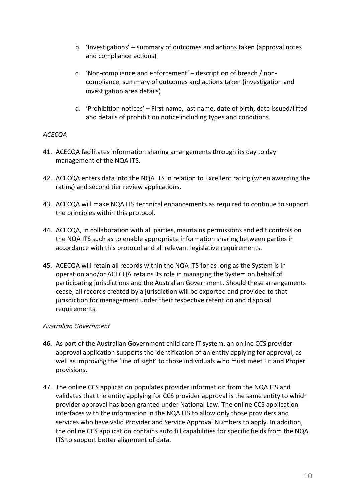- b. 'Investigations' summary of outcomes and actions taken (approval notes and compliance actions)
- c. 'Non-compliance and enforcement' description of breach / noncompliance, summary of outcomes and actions taken (investigation and investigation area details)
- d. 'Prohibition notices' First name, last name, date of birth, date issued/lifted and details of prohibition notice including types and conditions.

### *ACECQA*

- 41. ACECQA facilitates information sharing arrangements through its day to day management of the NQA ITS.
- 42. ACECQA enters data into the NQA ITS in relation to Excellent rating (when awarding the rating) and second tier review applications.
- 43. ACECQA will make NQA ITS technical enhancements as required to continue to support the principles within this protocol.
- 44. ACECQA, in collaboration with all parties, maintains permissions and edit controls on the NQA ITS such as to enable appropriate information sharing between parties in accordance with this protocol and all relevant legislative requirements.
- 45. ACECQA will retain all records within the NQA ITS for as long as the System is in operation and/or ACECQA retains its role in managing the System on behalf of participating jurisdictions and the Australian Government. Should these arrangements cease, all records created by a jurisdiction will be exported and provided to that jurisdiction for management under their respective retention and disposal requirements.

#### *Australian Government*

- 46. As part of the Australian Government child care IT system, an online CCS provider approval application supports the identification of an entity applying for approval, as well as improving the 'line of sight' to those individuals who must meet Fit and Proper provisions.
- 47. The online CCS application populates provider information from the NQA ITS and validates that the entity applying for CCS provider approval is the same entity to which provider approval has been granted under National Law. The online CCS application interfaces with the information in the NQA ITS to allow only those providers and services who have valid Provider and Service Approval Numbers to apply. In addition, the online CCS application contains auto fill capabilities for specific fields from the NQA ITS to support better alignment of data.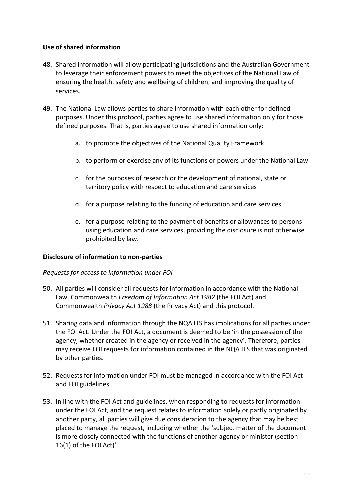### <span id="page-10-0"></span>**Use of shared information**

- 48. Shared information will allow participating jurisdictions and the Australian Government to leverage their enforcement powers to meet the objectives of the National Law of ensuring the health, safety and wellbeing of children, and improving the quality of services.
- 49. The National Law allows parties to share information with each other for defined purposes. Under this protocol, parties agree to use shared information only for those defined purposes. That is, parties agree to use shared information only:
	- a. to promote the objectives of the National Quality Framework
	- b. to perform or exercise any of its functions or powers under the National Law
	- c. for the purposes of research or the development of national, state or territory policy with respect to education and care services
	- d. for a purpose relating to the funding of education and care services
	- e. for a purpose relating to the payment of benefits or allowances to persons using education and care services, providing the disclosure is not otherwise prohibited by law.

#### <span id="page-10-1"></span>**Disclosure of information to non-parties**

#### *Requests for access to information under FOI*

- 50. All parties will consider all requests for information in accordance with the National Law, Commonwealth *Freedom of Information Act 1982* (the FOI Act) and Commonwealth *Privacy Act 1988* (the Privacy Act) and this protocol.
- 51. Sharing data and information through the NQA ITS has implications for all parties under the FOI Act. Under the FOI Act, a document is deemed to be 'in the possession of the agency, whether created in the agency or received in the agency'. Therefore, parties may receive FOI requests for information contained in the NQA ITS that was originated by other parties.
- 52. Requests for information under FOI must be managed in accordance with the FOI Act and FOI guidelines.
- 53. In line with the FOI Act and guidelines, when responding to requests for information under the FOI Act, and the request relates to information solely or partly originated by another party, all parties will give due consideration to the agency that may be best placed to manage the request, including whether the 'subject matter of the document is more closely connected with the functions of another agency or minister (section 16(1) of the FOI Act)'.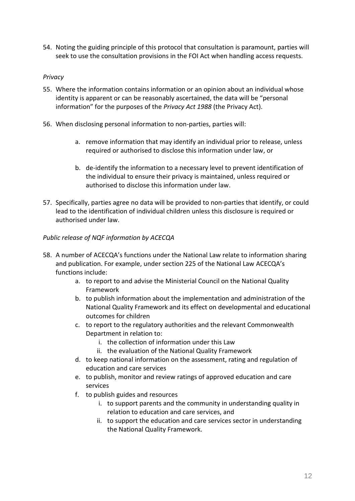54. Noting the guiding principle of this protocol that consultation is paramount, parties will seek to use the consultation provisions in the FOI Act when handling access requests.

### *Privacy*

- 55. Where the information contains information or an opinion about an individual whose identity is apparent or can be reasonably ascertained, the data will be "personal information" for the purposes of the *Privacy Act 1988* (the Privacy Act).
- 56. When disclosing personal information to non-parties, parties will:
	- a. remove information that may identify an individual prior to release, unless required or authorised to disclose this information under law, or
	- b. de-identify the information to a necessary level to prevent identification of the individual to ensure their privacy is maintained, unless required or authorised to disclose this information under law.
- 57. Specifically, parties agree no data will be provided to non-parties that identify, or could lead to the identification of individual children unless this disclosure is required or authorised under law.

# *Public release of NQF information by ACECQA*

- 58. A number of ACECQA's functions under the National Law relate to information sharing and publication. For example, under section 225 of the National Law ACECQA's functions include:
	- a. to report to and advise the Ministerial Council on the National Quality Framework
	- b. to publish information about the implementation and administration of the National Quality Framework and its effect on developmental and educational outcomes for children
	- c. to report to the regulatory authorities and the relevant Commonwealth Department in relation to:
		- i. the collection of information under this Law
		- ii. the evaluation of the National Quality Framework
	- d. to keep national information on the assessment, rating and regulation of education and care services
	- e. to publish, monitor and review ratings of approved education and care services
	- f. to publish guides and resources
		- i. to support parents and the community in understanding quality in relation to education and care services, and
		- ii. to support the education and care services sector in understanding the National Quality Framework.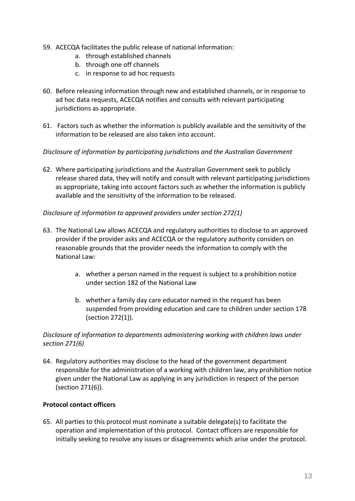- 59. ACECQA facilitates the public release of national information:
	- a. through established channels
	- b. through one off channels
	- c. in response to ad hoc requests
- 60. Before releasing information through new and established channels, or in response to ad hoc data requests, ACECQA notifies and consults with relevant participating jurisdictions as appropriate.
- 61. Factors such as whether the information is publicly available and the sensitivity of the information to be released are also taken into account.

#### *Disclosure of information by participating jurisdictions and the Australian Government*

62. Where participating jurisdictions and the Australian Government seek to publicly release shared data, they will notify and consult with relevant participating jurisdictions as appropriate, taking into account factors such as whether the information is publicly available and the sensitivity of the information to be released.

#### *Disclosure of information to approved providers under section 272(1)*

- 63. The National Law allows ACECQA and regulatory authorities to disclose to an approved provider if the provider asks and ACECQA or the regulatory authority considers on reasonable grounds that the provider needs the information to comply with the National Law:
	- a. whether a person named in the request is subject to a prohibition notice under section 182 of the National Law
	- b. whether a family day care educator named in the request has been suspended from providing education and care to children under section 178 (section 272(1)).

### *Disclosure of information to departments administering working with children laws under section 271(6)*

64. Regulatory authorities may disclose to the head of the government department responsible for the administration of a working with children law, any prohibition notice given under the National Law as applying in any jurisdiction in respect of the person (section 271(6)).

#### <span id="page-12-0"></span>**Protocol contact officers**

65. All parties to this protocol must nominate a suitable delegate(s) to facilitate the operation and implementation of this protocol. Contact officers are responsible for initially seeking to resolve any issues or disagreements which arise under the protocol.